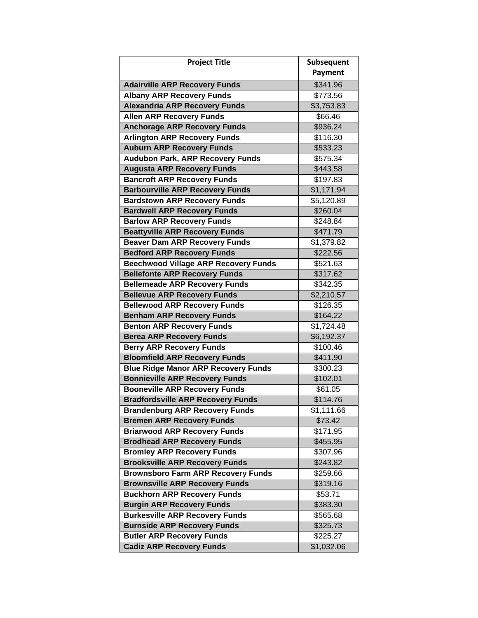| <b>Project Title</b>                                                        | Subsequent           |
|-----------------------------------------------------------------------------|----------------------|
|                                                                             | <b>Payment</b>       |
| <b>Adairville ARP Recovery Funds</b>                                        | \$341.96             |
| <b>Albany ARP Recovery Funds</b>                                            | \$773.56             |
| <b>Alexandria ARP Recovery Funds</b>                                        | \$3,753.83           |
| <b>Allen ARP Recovery Funds</b>                                             | \$66.46              |
| <b>Anchorage ARP Recovery Funds</b>                                         | \$936.24             |
| <b>Arlington ARP Recovery Funds</b>                                         | \$116.30             |
| <b>Auburn ARP Recovery Funds</b>                                            | \$533.23             |
| <b>Audubon Park, ARP Recovery Funds</b>                                     | \$575.34             |
| <b>Augusta ARP Recovery Funds</b>                                           | \$443.58             |
| <b>Bancroft ARP Recovery Funds</b>                                          | \$197.83             |
| <b>Barbourville ARP Recovery Funds</b>                                      | \$1,171.94           |
| <b>Bardstown ARP Recovery Funds</b>                                         | \$5,120.89           |
| <b>Bardwell ARP Recovery Funds</b>                                          | \$260.04             |
| <b>Barlow ARP Recovery Funds</b>                                            | \$248.84             |
| <b>Beattyville ARP Recovery Funds</b>                                       | \$471.79             |
| <b>Beaver Dam ARP Recovery Funds</b>                                        | \$1,379.82           |
| <b>Bedford ARP Recovery Funds</b>                                           | \$222.56             |
| <b>Beechwood Village ARP Recovery Funds</b>                                 | \$521.63             |
| <b>Bellefonte ARP Recovery Funds</b>                                        | \$317.62             |
| <b>Bellemeade ARP Recovery Funds</b>                                        | \$342.35             |
| <b>Bellevue ARP Recovery Funds</b>                                          | \$2,210.57           |
| <b>Bellewood ARP Recovery Funds</b>                                         | \$126.35             |
| <b>Benham ARP Recovery Funds</b>                                            | \$164.22             |
| <b>Benton ARP Recovery Funds</b>                                            | \$1,724.48           |
| <b>Berea ARP Recovery Funds</b>                                             | \$6,192.37           |
| <b>Berry ARP Recovery Funds</b>                                             | \$100.46             |
| <b>Bloomfield ARP Recovery Funds</b>                                        | \$411.90             |
| <b>Blue Ridge Manor ARP Recovery Funds</b>                                  | \$300.23             |
| <b>Bonnieville ARP Recovery Funds</b>                                       | \$102.01             |
| <b>Booneville ARP Recovery Funds</b>                                        | \$61.05              |
| <b>Bradfordsville ARP Recovery Funds</b>                                    | \$114.76             |
| <b>Brandenburg ARP Recovery Funds</b>                                       | \$1,111.66           |
| <b>Bremen ARP Recovery Funds</b>                                            | \$73.42              |
| <b>Briarwood ARP Recovery Funds</b>                                         | \$171.95             |
| <b>Brodhead ARP Recovery Funds</b>                                          | \$455.95             |
| <b>Bromley ARP Recovery Funds</b>                                           | \$307.96             |
| <b>Brooksville ARP Recovery Funds</b>                                       | \$243.82             |
| <b>Brownsboro Farm ARP Recovery Funds</b>                                   | \$259.66             |
| <b>Brownsville ARP Recovery Funds</b><br><b>Buckhorn ARP Recovery Funds</b> | \$319.16<br>\$53.71  |
|                                                                             |                      |
| <b>Burgin ARP Recovery Funds</b><br><b>Burkesville ARP Recovery Funds</b>   | \$383.30             |
| <b>Burnside ARP Recovery Funds</b>                                          | \$565.68<br>\$325.73 |
| <b>Butler ARP Recovery Funds</b>                                            | \$225.27             |
| <b>Cadiz ARP Recovery Funds</b>                                             | \$1,032.06           |
|                                                                             |                      |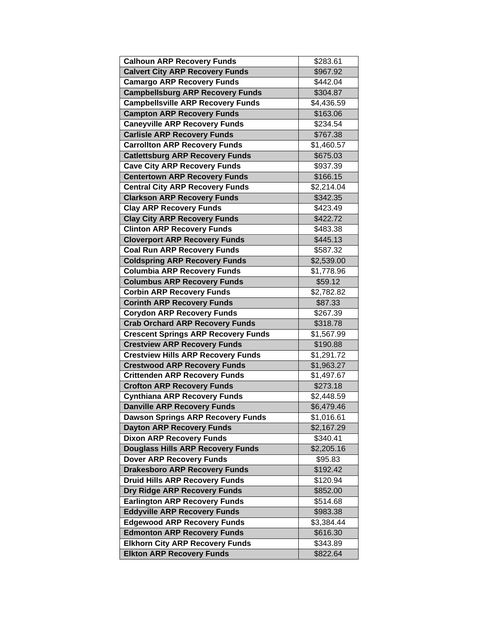| <b>Calhoun ARP Recovery Funds</b>          | \$283.61               |
|--------------------------------------------|------------------------|
| <b>Calvert City ARP Recovery Funds</b>     | \$967.92               |
| <b>Camargo ARP Recovery Funds</b>          | \$442.04               |
| <b>Campbellsburg ARP Recovery Funds</b>    | \$304.87               |
| <b>Campbellsville ARP Recovery Funds</b>   | \$4,436.59             |
| <b>Campton ARP Recovery Funds</b>          | \$163.06               |
| <b>Caneyville ARP Recovery Funds</b>       | \$234.54               |
| <b>Carlisle ARP Recovery Funds</b>         | \$767.38               |
| <b>Carrollton ARP Recovery Funds</b>       | \$1,460.57             |
| <b>Catlettsburg ARP Recovery Funds</b>     | \$675.03               |
| <b>Cave City ARP Recovery Funds</b>        | \$937.39               |
| <b>Centertown ARP Recovery Funds</b>       | \$166.15               |
| <b>Central City ARP Recovery Funds</b>     | \$2,214.04             |
| <b>Clarkson ARP Recovery Funds</b>         | \$342.35               |
| <b>Clay ARP Recovery Funds</b>             | \$423.49               |
| <b>Clay City ARP Recovery Funds</b>        | \$422.72               |
| <b>Clinton ARP Recovery Funds</b>          | \$483.38               |
| <b>Cloverport ARP Recovery Funds</b>       | \$445.13               |
| <b>Coal Run ARP Recovery Funds</b>         | \$587.32               |
| <b>Coldspring ARP Recovery Funds</b>       | $\overline{$2,539.00}$ |
| <b>Columbia ARP Recovery Funds</b>         | \$1,778.96             |
| <b>Columbus ARP Recovery Funds</b>         | \$59.12                |
| <b>Corbin ARP Recovery Funds</b>           | \$2,782.82             |
| <b>Corinth ARP Recovery Funds</b>          | \$87.33                |
| <b>Corydon ARP Recovery Funds</b>          | \$267.39               |
| <b>Crab Orchard ARP Recovery Funds</b>     | \$318.78               |
| <b>Crescent Springs ARP Recovery Funds</b> | \$1,567.99             |
| <b>Crestview ARP Recovery Funds</b>        | \$190.88               |
| <b>Crestview Hills ARP Recovery Funds</b>  | \$1,291.72             |
| <b>Crestwood ARP Recovery Funds</b>        | \$1,963.27             |
| <b>Crittenden ARP Recovery Funds</b>       | \$1,497.67             |
| <b>Crofton ARP Recovery Funds</b>          | \$273.18               |
| <b>Cynthiana ARP Recovery Funds</b>        | \$2,448.59             |
| <b>Danville ARP Recovery Funds</b>         | \$6,479.46             |
| <b>Dawson Springs ARP Recovery Funds</b>   | \$1,016.61             |
| <b>Dayton ARP Recovery Funds</b>           | \$2,167.29             |
| <b>Dixon ARP Recovery Funds</b>            | \$340.41               |
| <b>Douglass Hills ARP Recovery Funds</b>   | \$2,205.16             |
| <b>Dover ARP Recovery Funds</b>            | \$95.83                |
| <b>Drakesboro ARP Recovery Funds</b>       | \$192.42               |
| <b>Druid Hills ARP Recovery Funds</b>      | \$120.94               |
| Dry Ridge ARP Recovery Funds               | \$852.00               |
| <b>Earlington ARP Recovery Funds</b>       | \$514.68               |
| <b>Eddyville ARP Recovery Funds</b>        | \$983.38               |
| <b>Edgewood ARP Recovery Funds</b>         | \$3,384.44             |
| <b>Edmonton ARP Recovery Funds</b>         | \$616.30               |
| <b>Elkhorn City ARP Recovery Funds</b>     | \$343.89               |
| <b>Elkton ARP Recovery Funds</b>           | \$822.64               |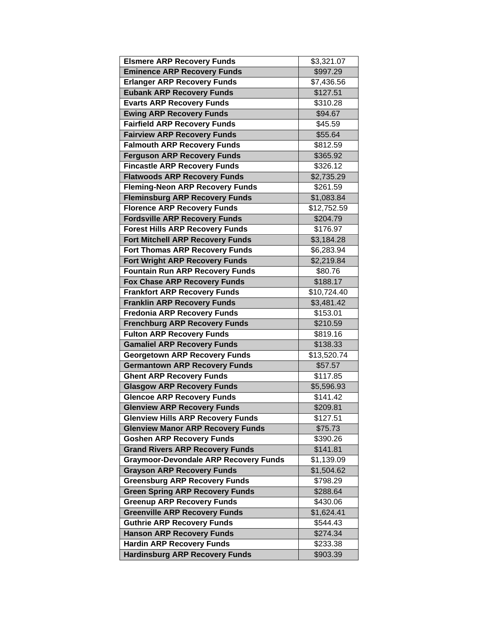| <b>Elsmere ARP Recovery Funds</b>            | $\overline{$3,321.07}$ |
|----------------------------------------------|------------------------|
| <b>Eminence ARP Recovery Funds</b>           | \$997.29               |
| <b>Erlanger ARP Recovery Funds</b>           | \$7,436.56             |
| <b>Eubank ARP Recovery Funds</b>             | \$127.51               |
| <b>Evarts ARP Recovery Funds</b>             | \$310.28               |
| <b>Ewing ARP Recovery Funds</b>              | \$94.67                |
| <b>Fairfield ARP Recovery Funds</b>          | \$45.59                |
| <b>Fairview ARP Recovery Funds</b>           | \$55.64                |
| <b>Falmouth ARP Recovery Funds</b>           | \$812.59               |
| <b>Ferguson ARP Recovery Funds</b>           | \$365.92               |
| <b>Fincastle ARP Recovery Funds</b>          | \$326.12               |
| <b>Flatwoods ARP Recovery Funds</b>          | \$2,735.29             |
| <b>Fleming-Neon ARP Recovery Funds</b>       | \$261.59               |
| <b>Fleminsburg ARP Recovery Funds</b>        | \$1,083.84             |
| <b>Florence ARP Recovery Funds</b>           | \$12,752.59            |
| <b>Fordsville ARP Recovery Funds</b>         | \$204.79               |
| <b>Forest Hills ARP Recovery Funds</b>       | \$176.97               |
| <b>Fort Mitchell ARP Recovery Funds</b>      | \$3,184.28             |
| <b>Fort Thomas ARP Recovery Funds</b>        | \$6,283.94             |
| <b>Fort Wright ARP Recovery Funds</b>        | \$2,219.84             |
| <b>Fountain Run ARP Recovery Funds</b>       | \$80.76                |
| <b>Fox Chase ARP Recovery Funds</b>          | $\overline{$}188.17$   |
| <b>Frankfort ARP Recovery Funds</b>          | \$10,724.40            |
| <b>Franklin ARP Recovery Funds</b>           | $$3,481.\overline{42}$ |
| <b>Fredonia ARP Recovery Funds</b>           | \$153.01               |
| <b>Frenchburg ARP Recovery Funds</b>         | \$210.59               |
| <b>Fulton ARP Recovery Funds</b>             | \$819.16               |
| <b>Gamaliel ARP Recovery Funds</b>           | \$138.33               |
| <b>Georgetown ARP Recovery Funds</b>         | \$13,520.74            |
| <b>Germantown ARP Recovery Funds</b>         | \$57.57                |
| <b>Ghent ARP Recovery Funds</b>              | \$117.85               |
| <b>Glasgow ARP Recovery Funds</b>            | \$5,596.93             |
| <b>Glencoe ARP Recovery Funds</b>            | \$141.42               |
| <b>Glenview ARP Recovery Funds</b>           | \$209.81               |
| <b>Glenview Hills ARP Recovery Funds</b>     | \$127.51               |
| <b>Glenview Manor ARP Recovery Funds</b>     | \$75.73                |
| <b>Goshen ARP Recovery Funds</b>             | \$390.26               |
| <b>Grand Rivers ARP Recovery Funds</b>       | \$141.81               |
| <b>Graymoor-Devondale ARP Recovery Funds</b> | \$1,139.09             |
| <b>Grayson ARP Recovery Funds</b>            | \$1,504.62             |
| <b>Greensburg ARP Recovery Funds</b>         | \$798.29               |
| <b>Green Spring ARP Recovery Funds</b>       | \$288.64               |
| <b>Greenup ARP Recovery Funds</b>            | \$430.06               |
| <b>Greenville ARP Recovery Funds</b>         | \$1,624.41             |
| <b>Guthrie ARP Recovery Funds</b>            | \$544.43               |
| <b>Hanson ARP Recovery Funds</b>             | \$274.34               |
| <b>Hardin ARP Recovery Funds</b>             | \$233.38               |
| <b>Hardinsburg ARP Recovery Funds</b>        | \$903.39               |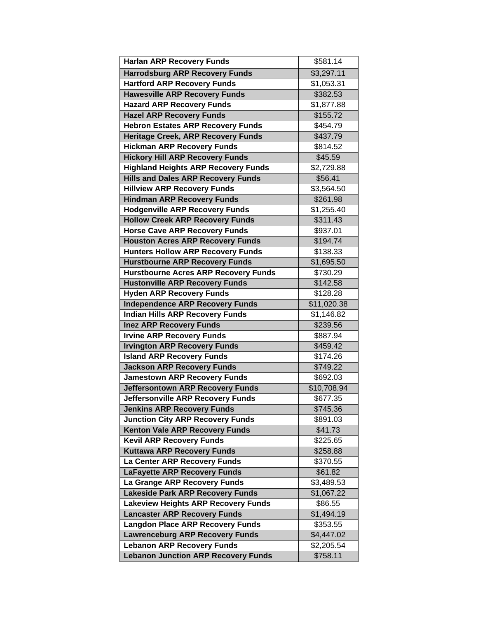| <b>Harlan ARP Recovery Funds</b>            | \$581.14                |
|---------------------------------------------|-------------------------|
| <b>Harrodsburg ARP Recovery Funds</b>       | \$3,297.11              |
| <b>Hartford ARP Recovery Funds</b>          | \$1,053.31              |
| <b>Hawesville ARP Recovery Funds</b>        | \$382.53                |
| <b>Hazard ARP Recovery Funds</b>            | \$1,877.88              |
| <b>Hazel ARP Recovery Funds</b>             | \$155.72                |
| <b>Hebron Estates ARP Recovery Funds</b>    | \$454.79                |
| <b>Heritage Creek, ARP Recovery Funds</b>   | \$437.79                |
| <b>Hickman ARP Recovery Funds</b>           | \$814.52                |
| <b>Hickory Hill ARP Recovery Funds</b>      | \$45.59                 |
| <b>Highland Heights ARP Recovery Funds</b>  | \$2,729.88              |
| <b>Hills and Dales ARP Recovery Funds</b>   | \$56.41                 |
| <b>Hillview ARP Recovery Funds</b>          | \$3,564.50              |
| <b>Hindman ARP Recovery Funds</b>           | \$261.98                |
| <b>Hodgenville ARP Recovery Funds</b>       | \$1,255.40              |
| <b>Hollow Creek ARP Recovery Funds</b>      | \$311.43                |
| <b>Horse Cave ARP Recovery Funds</b>        | \$937.01                |
| <b>Houston Acres ARP Recovery Funds</b>     | \$194.74                |
| <b>Hunters Hollow ARP Recovery Funds</b>    | \$138.33                |
| <b>Hurstbourne ARP Recovery Funds</b>       | \$1,695.50              |
| <b>Hurstbourne Acres ARP Recovery Funds</b> | \$730.29                |
| <b>Hustonville ARP Recovery Funds</b>       | \$142.58                |
| <b>Hyden ARP Recovery Funds</b>             | \$128.28                |
| <b>Independence ARP Recovery Funds</b>      | $\overline{$}11,020.38$ |
| <b>Indian Hills ARP Recovery Funds</b>      | \$1,146.82              |
| <b>Inez ARP Recovery Funds</b>              | \$239.56                |
| <b>Irvine ARP Recovery Funds</b>            | \$887.94                |
| <b>Irvington ARP Recovery Funds</b>         | \$459.42                |
| <b>Island ARP Recovery Funds</b>            | \$174.26                |
| <b>Jackson ARP Recovery Funds</b>           | \$749.22                |
| <b>Jamestown ARP Recovery Funds</b>         | \$692.03                |
| <b>Jeffersontown ARP Recovery Funds</b>     | \$10,708.94             |
| Jeffersonville ARP Recovery Funds           | \$677.35                |
| <b>Jenkins ARP Recovery Funds</b>           | \$745.36                |
| <b>Junction City ARP Recovery Funds</b>     | \$891.03                |
| <b>Kenton Vale ARP Recovery Funds</b>       | \$41.73                 |
| <b>Kevil ARP Recovery Funds</b>             | \$225.65                |
| <b>Kuttawa ARP Recovery Funds</b>           | \$258.88                |
| La Center ARP Recovery Funds                | \$370.55                |
| <b>LaFayette ARP Recovery Funds</b>         | \$61.82                 |
| La Grange ARP Recovery Funds                | \$3,489.53              |
| <b>Lakeside Park ARP Recovery Funds</b>     | \$1,067.22              |
| <b>Lakeview Heights ARP Recovery Funds</b>  | \$86.55                 |
| <b>Lancaster ARP Recovery Funds</b>         | \$1,494.19              |
| <b>Langdon Place ARP Recovery Funds</b>     | \$353.55                |
| <b>Lawrenceburg ARP Recovery Funds</b>      | \$4,447.02              |
| <b>Lebanon ARP Recovery Funds</b>           | \$2,205.54              |
| <b>Lebanon Junction ARP Recovery Funds</b>  | \$758.11                |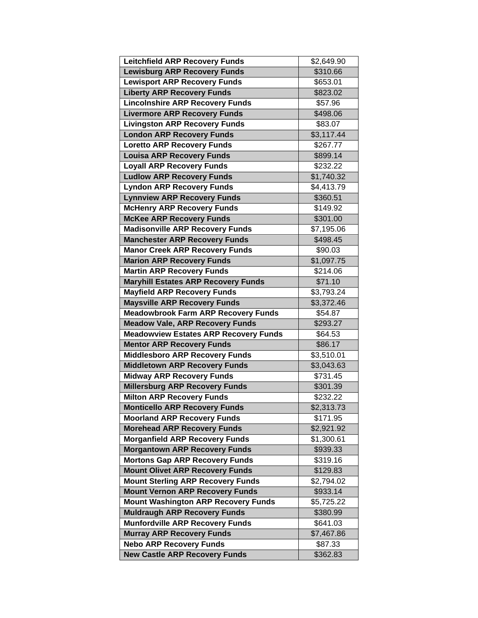| <b>Leitchfield ARP Recovery Funds</b>                                  | \$2,649.90          |
|------------------------------------------------------------------------|---------------------|
| <b>Lewisburg ARP Recovery Funds</b>                                    | \$310.66            |
| <b>Lewisport ARP Recovery Funds</b>                                    | \$653.01            |
| <b>Liberty ARP Recovery Funds</b>                                      | \$823.02            |
| <b>Lincolnshire ARP Recovery Funds</b>                                 | \$57.96             |
| <b>Livermore ARP Recovery Funds</b>                                    | \$498.06            |
| <b>Livingston ARP Recovery Funds</b>                                   | \$83.07             |
| <b>London ARP Recovery Funds</b>                                       | \$3,117.44          |
| <b>Loretto ARP Recovery Funds</b>                                      | \$267.77            |
| <b>Louisa ARP Recovery Funds</b>                                       | \$899.14            |
| <b>Loyall ARP Recovery Funds</b>                                       | \$232.22            |
| <b>Ludlow ARP Recovery Funds</b>                                       | \$1,740.32          |
| <b>Lyndon ARP Recovery Funds</b>                                       | \$4,413.79          |
| <b>Lynnview ARP Recovery Funds</b>                                     | \$360.51            |
| <b>McHenry ARP Recovery Funds</b>                                      | \$149.92            |
| <b>McKee ARP Recovery Funds</b>                                        | \$301.00            |
| <b>Madisonville ARP Recovery Funds</b>                                 | \$7,195.06          |
| <b>Manchester ARP Recovery Funds</b>                                   | \$498.45            |
| <b>Manor Creek ARP Recovery Funds</b>                                  | \$90.03             |
| <b>Marion ARP Recovery Funds</b>                                       | \$1,097.75          |
| <b>Martin ARP Recovery Funds</b>                                       | \$214.06            |
| <b>Maryhill Estates ARP Recovery Funds</b>                             | \$71.10             |
| <b>Mayfield ARP Recovery Funds</b>                                     | \$3,793.24          |
| <b>Maysville ARP Recovery Funds</b>                                    | \$3,372.46          |
| <b>Meadowbrook Farm ARP Recovery Funds</b>                             | \$54.87             |
|                                                                        |                     |
| <b>Meadow Vale, ARP Recovery Funds</b>                                 | \$293.27            |
| <b>Meadowview Estates ARP Recovery Funds</b>                           | $\frac{1}{664.53}$  |
| <b>Mentor ARP Recovery Funds</b>                                       | \$86.17             |
| <b>Middlesboro ARP Recovery Funds</b>                                  | \$3,510.01          |
| <b>Middletown ARP Recovery Funds</b>                                   | \$3,043.63          |
| <b>Midway ARP Recovery Funds</b>                                       | \$731.45            |
| <b>Millersburg ARP Recovery Funds</b>                                  | \$301.39            |
| <b>Milton ARP Recovery Funds</b>                                       | \$232.22            |
| <b>Monticello ARP Recovery Funds</b>                                   | \$2,313.73          |
| <b>Moorland ARP Recovery Funds</b>                                     | \$171.95            |
| <b>Morehead ARP Recovery Funds</b>                                     | \$2,921.92          |
| <b>Morganfield ARP Recovery Funds</b>                                  | \$1,300.61          |
| <b>Morgantown ARP Recovery Funds</b>                                   | \$939.33            |
| <b>Mortons Gap ARP Recovery Funds</b>                                  | \$319.16            |
| <b>Mount Olivet ARP Recovery Funds</b>                                 | \$129.83            |
| <b>Mount Sterling ARP Recovery Funds</b>                               | \$2,794.02          |
| <b>Mount Vernon ARP Recovery Funds</b>                                 | \$933.14            |
| <b>Mount Washington ARP Recovery Funds</b>                             | \$5,725.22          |
| <b>Muldraugh ARP Recovery Funds</b>                                    | \$380.99            |
| <b>Munfordville ARP Recovery Funds</b>                                 | \$641.03            |
| <b>Murray ARP Recovery Funds</b>                                       | \$7,467.86          |
| <b>Nebo ARP Recovery Funds</b><br><b>New Castle ARP Recovery Funds</b> | \$87.33<br>\$362.83 |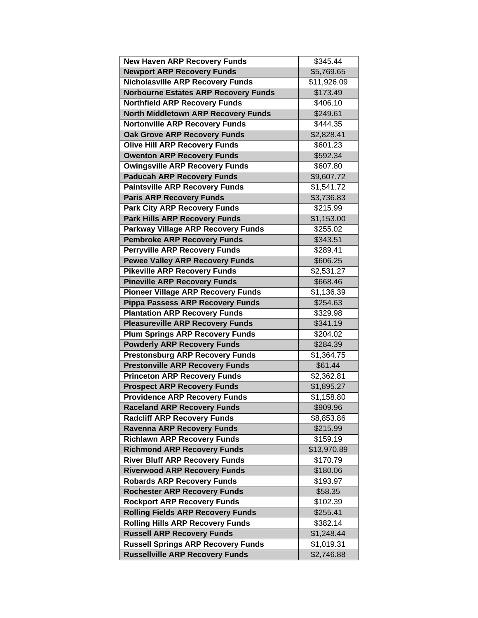| <b>New Haven ARP Recovery Funds</b>         | \$345.44               |
|---------------------------------------------|------------------------|
| <b>Newport ARP Recovery Funds</b>           | $\overline{$5,769.65}$ |
| <b>Nicholasville ARP Recovery Funds</b>     | \$11,926.09            |
| <b>Norbourne Estates ARP Recovery Funds</b> | \$173.49               |
| <b>Northfield ARP Recovery Funds</b>        | \$406.10               |
| <b>North Middletown ARP Recovery Funds</b>  | \$249.61               |
| <b>Nortonville ARP Recovery Funds</b>       | \$444.35               |
| <b>Oak Grove ARP Recovery Funds</b>         | $\overline{$2,828.41}$ |
| <b>Olive Hill ARP Recovery Funds</b>        | $\overline{$}601.23$   |
| <b>Owenton ARP Recovery Funds</b>           | \$592.34               |
| <b>Owingsville ARP Recovery Funds</b>       | $\frac{1}{607.80}$     |
| <b>Paducah ARP Recovery Funds</b>           | \$9,607.72             |
| <b>Paintsville ARP Recovery Funds</b>       | \$1,541.72             |
| <b>Paris ARP Recovery Funds</b>             | \$3,736.83             |
| <b>Park City ARP Recovery Funds</b>         | \$215.99               |
| <b>Park Hills ARP Recovery Funds</b>        | \$1,153.00             |
| <b>Parkway Village ARP Recovery Funds</b>   | \$255.02               |
| <b>Pembroke ARP Recovery Funds</b>          | \$343.51               |
| <b>Perryville ARP Recovery Funds</b>        | \$289.41               |
| <b>Pewee Valley ARP Recovery Funds</b>      | \$606.25               |
| <b>Pikeville ARP Recovery Funds</b>         | \$2,531.27             |
| <b>Pineville ARP Recovery Funds</b>         | \$668.46               |
| <b>Pioneer Village ARP Recovery Funds</b>   | $\overline{$1,136.39}$ |
| <b>Pippa Passess ARP Recovery Funds</b>     | \$254.63               |
| <b>Plantation ARP Recovery Funds</b>        | \$329.98               |
| <b>Pleasureville ARP Recovery Funds</b>     | \$341.19               |
| <b>Plum Springs ARP Recovery Funds</b>      | \$204.02               |
| <b>Powderly ARP Recovery Funds</b>          | \$284.39               |
| <b>Prestonsburg ARP Recovery Funds</b>      | \$1,364.75             |
| <b>Prestonville ARP Recovery Funds</b>      | \$61.44                |
| <b>Princeton ARP Recovery Funds</b>         | $\overline{$2,362.81}$ |
| <b>Prospect ARP Recovery Funds</b>          | $\overline{$1,895.27}$ |
| <b>Providence ARP Recovery Funds</b>        | \$1,158.80             |
| <b>Raceland ARP Recovery Funds</b>          | \$909.96               |
| <b>Radcliff ARP Recovery Funds</b>          | \$8,853.86             |
| <b>Ravenna ARP Recovery Funds</b>           | \$215.99               |
| <b>Richlawn ARP Recovery Funds</b>          | \$159.19               |
| <b>Richmond ARP Recovery Funds</b>          | \$13,970.89            |
| <b>River Bluff ARP Recovery Funds</b>       | \$170.79               |
| <b>Riverwood ARP Recovery Funds</b>         | \$180.06               |
| <b>Robards ARP Recovery Funds</b>           | \$193.97               |
| <b>Rochester ARP Recovery Funds</b>         | \$58.35                |
| <b>Rockport ARP Recovery Funds</b>          | \$102.39               |
| <b>Rolling Fields ARP Recovery Funds</b>    | \$255.41               |
| <b>Rolling Hills ARP Recovery Funds</b>     | \$382.14               |
| <b>Russell ARP Recovery Funds</b>           | \$1,248.44             |
| <b>Russell Springs ARP Recovery Funds</b>   | \$1,019.31             |
| <b>Russellville ARP Recovery Funds</b>      | \$2,746.88             |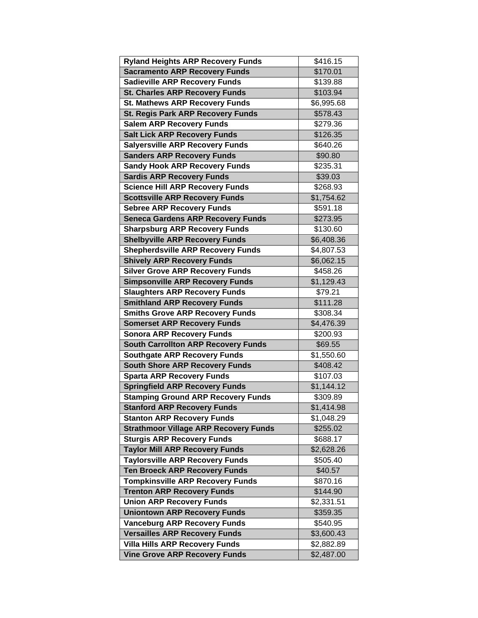| <b>Ryland Heights ARP Recovery Funds</b>     | \$416.15   |
|----------------------------------------------|------------|
| <b>Sacramento ARP Recovery Funds</b>         | \$170.01   |
| <b>Sadieville ARP Recovery Funds</b>         | \$139.88   |
| <b>St. Charles ARP Recovery Funds</b>        | \$103.94   |
| <b>St. Mathews ARP Recovery Funds</b>        | \$6,995.68 |
| <b>St. Regis Park ARP Recovery Funds</b>     | \$578.43   |
| <b>Salem ARP Recovery Funds</b>              | \$279.36   |
| <b>Salt Lick ARP Recovery Funds</b>          | \$126.35   |
| <b>Salyersville ARP Recovery Funds</b>       | \$640.26   |
| <b>Sanders ARP Recovery Funds</b>            | \$90.80    |
| <b>Sandy Hook ARP Recovery Funds</b>         | \$235.31   |
| <b>Sardis ARP Recovery Funds</b>             | \$39.03    |
| <b>Science Hill ARP Recovery Funds</b>       | \$268.93   |
| <b>Scottsville ARP Recovery Funds</b>        | \$1,754.62 |
| <b>Sebree ARP Recovery Funds</b>             | \$591.18   |
| <b>Seneca Gardens ARP Recovery Funds</b>     | \$273.95   |
| <b>Sharpsburg ARP Recovery Funds</b>         | \$130.60   |
| <b>Shelbyville ARP Recovery Funds</b>        | \$6,408.36 |
| <b>Shepherdsville ARP Recovery Funds</b>     | \$4,807.53 |
| <b>Shively ARP Recovery Funds</b>            | \$6,062.15 |
| <b>Silver Grove ARP Recovery Funds</b>       | \$458.26   |
| <b>Simpsonville ARP Recovery Funds</b>       | \$1,129.43 |
| <b>Slaughters ARP Recovery Funds</b>         | \$79.21    |
| <b>Smithland ARP Recovery Funds</b>          | \$111.28   |
| <b>Smiths Grove ARP Recovery Funds</b>       | \$308.34   |
| <b>Somerset ARP Recovery Funds</b>           | \$4,476.39 |
| <b>Sonora ARP Recovery Funds</b>             | \$200.93   |
| <b>South Carrollton ARP Recovery Funds</b>   | \$69.55    |
| <b>Southgate ARP Recovery Funds</b>          | \$1,550.60 |
| <b>South Shore ARP Recovery Funds</b>        | \$408.42   |
| <b>Sparta ARP Recovery Funds</b>             | \$107.03   |
| <b>Springfield ARP Recovery Funds</b>        | \$1,144.12 |
| <b>Stamping Ground ARP Recovery Funds</b>    | \$309.89   |
| <b>Stanford ARP Recovery Funds</b>           | \$1,414.98 |
| <b>Stanton ARP Recovery Funds</b>            | \$1,048.29 |
| <b>Strathmoor Village ARP Recovery Funds</b> | \$255.02   |
| <b>Sturgis ARP Recovery Funds</b>            | \$688.17   |
| <b>Taylor Mill ARP Recovery Funds</b>        | \$2,628.26 |
| <b>Taylorsville ARP Recovery Funds</b>       | \$505.40   |
| <b>Ten Broeck ARP Recovery Funds</b>         | \$40.57    |
| <b>Tompkinsville ARP Recovery Funds</b>      | \$870.16   |
| <b>Trenton ARP Recovery Funds</b>            | \$144.90   |
| <b>Union ARP Recovery Funds</b>              | \$2,331.51 |
| <b>Uniontown ARP Recovery Funds</b>          | \$359.35   |
| <b>Vanceburg ARP Recovery Funds</b>          | \$540.95   |
| <b>Versailles ARP Recovery Funds</b>         | \$3,600.43 |
| <b>Villa Hills ARP Recovery Funds</b>        | \$2,882.89 |
| <b>Vine Grove ARP Recovery Funds</b>         | \$2,487.00 |